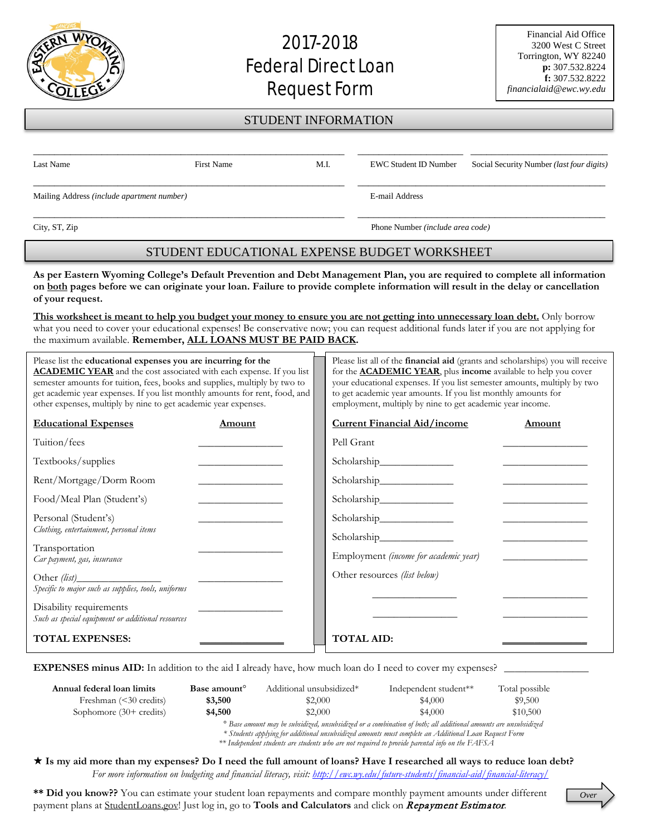## 2017-2018 **Federal Direct Loan** Request Form

*Over*

## STUDENT INFORMATION

| Last Name                                  | <b>First Name</b> | M.I.           |  | <b>EWC Student ID Number</b> Social Security Number <i>(last four digits)</i> |
|--------------------------------------------|-------------------|----------------|--|-------------------------------------------------------------------------------|
| Mailing Address (include apartment number) |                   | E-mail Address |  |                                                                               |

City, ST, Zip Phone Number *(include area code)*

## STUDENT EDUCATIONAL EXPENSE BUDGET WORKSHEET

**As per Eastern Wyoming College's Default Prevention and Debt Management Plan, you are required to complete all information on both pages before we can originate your loan. Failure to provide complete information will result in the delay or cancellation of your request.**

**This worksheet is meant to help you budget your money to ensure you are not getting into unnecessary loan debt.** Only borrow what you need to cover your educational expenses! Be conservative now; you can request additional funds later if you are not applying for the maximum available. **Remember, ALL LOANS MUST BE PAID BACK.**

| Please list the educational expenses you are incurring for the<br><b>ACADEMIC YEAR</b> and the cost associated with each expense. If you list<br>semester amounts for tuition, fees, books and supplies, multiply by two to<br>get academic year expenses. If you list monthly amounts for rent, food, and<br>other expenses, multiply by nine to get academic year expenses. |                                              | Please list all of the <b>financial aid</b> (grants and scholarships) you will receive<br>for the <b>ACADEMIC YEAR</b> , plus income available to help you cover<br>your educational expenses. If you list semester amounts, multiply by two<br>to get academic year amounts. If you list monthly amounts for<br>employment, multiply by nine to get academic year income. |                                       |                                                |
|-------------------------------------------------------------------------------------------------------------------------------------------------------------------------------------------------------------------------------------------------------------------------------------------------------------------------------------------------------------------------------|----------------------------------------------|----------------------------------------------------------------------------------------------------------------------------------------------------------------------------------------------------------------------------------------------------------------------------------------------------------------------------------------------------------------------------|---------------------------------------|------------------------------------------------|
| <b>Educational Expenses</b>                                                                                                                                                                                                                                                                                                                                                   | Amount                                       |                                                                                                                                                                                                                                                                                                                                                                            | <b>Current Financial Aid/income</b>   | Amount                                         |
| Tuition/fees                                                                                                                                                                                                                                                                                                                                                                  |                                              |                                                                                                                                                                                                                                                                                                                                                                            | Pell Grant                            |                                                |
| Textbooks/supplies                                                                                                                                                                                                                                                                                                                                                            |                                              |                                                                                                                                                                                                                                                                                                                                                                            |                                       |                                                |
| Rent/Mortgage/Dorm Room                                                                                                                                                                                                                                                                                                                                                       |                                              |                                                                                                                                                                                                                                                                                                                                                                            |                                       |                                                |
| Food/Meal Plan (Student's)                                                                                                                                                                                                                                                                                                                                                    | the control of the control of the control of |                                                                                                                                                                                                                                                                                                                                                                            |                                       |                                                |
| Personal (Student's)<br>Clothing, entertainment, personal items                                                                                                                                                                                                                                                                                                               |                                              |                                                                                                                                                                                                                                                                                                                                                                            |                                       |                                                |
| Transportation<br>Car payment, gas, insurance                                                                                                                                                                                                                                                                                                                                 |                                              |                                                                                                                                                                                                                                                                                                                                                                            | Employment (income for academic year) | <u>and the state of the state of the state</u> |
| Specific to major such as supplies, tools, uniforms                                                                                                                                                                                                                                                                                                                           |                                              |                                                                                                                                                                                                                                                                                                                                                                            | Other resources (list below)          |                                                |
| Disability requirements<br>Such as special equipment or additional resources                                                                                                                                                                                                                                                                                                  |                                              |                                                                                                                                                                                                                                                                                                                                                                            |                                       |                                                |
| <b>TOTAL EXPENSES:</b>                                                                                                                                                                                                                                                                                                                                                        |                                              |                                                                                                                                                                                                                                                                                                                                                                            | <b>TOTAL AID:</b>                     |                                                |

**EXPENSES minus AID:** In addition to the aid I already have, how much loan do I need to cover my expenses?

| Annual federal loan limits           | Base amount <sup>o</sup> | Additional unsubsidized*                                                                                                  | Independent student** | Total possible |
|--------------------------------------|--------------------------|---------------------------------------------------------------------------------------------------------------------------|-----------------------|----------------|
| Freshman $(\leq 30 \text{ credits})$ | \$3,500                  | \$2,000                                                                                                                   | \$4,000               | \$9,500        |
| Sophomore $(30+$ credits)            | \$4,500                  | \$2,000                                                                                                                   | \$4,000               | \$10,500       |
|                                      |                          | <sup>2</sup> Race amount man be cubeddired amoubcidired on a combination of boths all additional amounts are uncubeddired |                       |                |

*° Base amount may be subsidized, unsubsidized or a combination of both; all additional amounts are unsubsidized \* Students applying for additional unsubsidized amounts must complete an Additional Loan Request Form*

*\*\* Independent students are students who are not required to provide parental info on the FAFSA*

 **Is my aid more than my expenses? Do I need the full amount of loans? Have I researched all ways to reduce loan debt?** *For more information on budgeting and financial literacy, visit:<http://ewc.wy.edu/future-students/financial-aid/financial-literacy/>*

**\*\* Did you know??** You can estimate your student loan repayments and compare monthly payment amounts under different payment plans at StudentLoans.gov! Just log in, go to **Tools and Calculators** and click on Repayment Estimator.